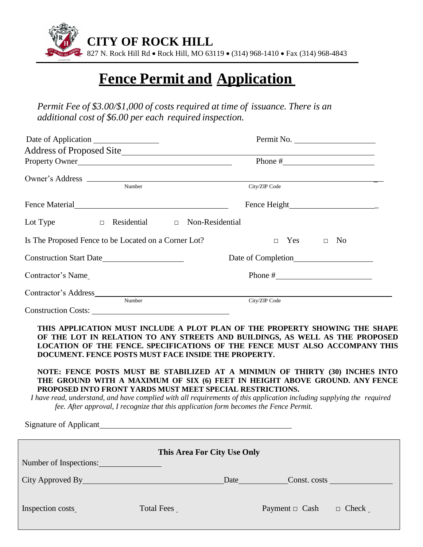

## **Fence Permit and Application**

*Permit Fee of \$3.00/\$1,000 of costs required at time of issuance. There is an additional cost of \$6.00 per each required inspection.*

|                                                                                                                                                                                                                                                                                                                                                                                                                                            |                                           | Permit No. |                      |              |  |
|--------------------------------------------------------------------------------------------------------------------------------------------------------------------------------------------------------------------------------------------------------------------------------------------------------------------------------------------------------------------------------------------------------------------------------------------|-------------------------------------------|------------|----------------------|--------------|--|
| Property Owner                                                                                                                                                                                                                                                                                                                                                                                                                             |                                           |            |                      |              |  |
|                                                                                                                                                                                                                                                                                                                                                                                                                                            |                                           |            |                      |              |  |
|                                                                                                                                                                                                                                                                                                                                                                                                                                            | $\overline{\overline{\mathrm{Number}}}$   |            | City/ZIP Code        |              |  |
| Fence Material                                                                                                                                                                                                                                                                                                                                                                                                                             |                                           |            |                      |              |  |
| Lot Type                                                                                                                                                                                                                                                                                                                                                                                                                                   | $\Box$ Residential $\Box$ Non-Residential |            |                      |              |  |
| Is The Proposed Fence to be Located on a Corner Lot?                                                                                                                                                                                                                                                                                                                                                                                       |                                           |            | $\Box$ Yes $\Box$ No |              |  |
| Construction Start Date                                                                                                                                                                                                                                                                                                                                                                                                                    |                                           |            |                      |              |  |
| Contractor's Name                                                                                                                                                                                                                                                                                                                                                                                                                          |                                           |            |                      |              |  |
| Number                                                                                                                                                                                                                                                                                                                                                                                                                                     |                                           |            | City/ZIP Code        |              |  |
| Construction Costs:                                                                                                                                                                                                                                                                                                                                                                                                                        |                                           |            |                      |              |  |
| THIS APPLICATION MUST INCLUDE A PLOT PLAN OF THE PROPERTY SHOWING THE SHAPE<br>OF THE LOT IN RELATION TO ANY STREETS AND BUILDINGS, AS WELL AS THE PROPOSED<br>LOCATION OF THE FENCE. SPECIFICATIONS OF THE FENCE MUST ALSO ACCOMPANY THIS<br>DOCUMENT. FENCE POSTS MUST FACE INSIDE THE PROPERTY.                                                                                                                                         |                                           |            |                      |              |  |
| NOTE: FENCE POSTS MUST BE STABILIZED AT A MINIMUN OF THIRTY (30) INCHES INTO<br>THE GROUND WITH A MAXIMUM OF SIX (6) FEET IN HEIGHT ABOVE GROUND. ANY FENCE<br>PROPOSED INTO FRONT YARDS MUST MEET SPECIAL RESTRICTIONS.<br>I have read, understand, and have complied with all requirements of this application including supplying the required<br>fee. After approval, I recognize that this application form becomes the Fence Permit. |                                           |            |                      |              |  |
| Signature of Applicant                                                                                                                                                                                                                                                                                                                                                                                                                     |                                           |            |                      |              |  |
|                                                                                                                                                                                                                                                                                                                                                                                                                                            | This Area For City Use Only               |            |                      |              |  |
| Number of Inspections:                                                                                                                                                                                                                                                                                                                                                                                                                     |                                           |            |                      |              |  |
|                                                                                                                                                                                                                                                                                                                                                                                                                                            |                                           |            |                      |              |  |
| Inspection costs                                                                                                                                                                                                                                                                                                                                                                                                                           | Total Fees _                              |            | Payment $\Box$ Cash  | $\Box$ Check |  |